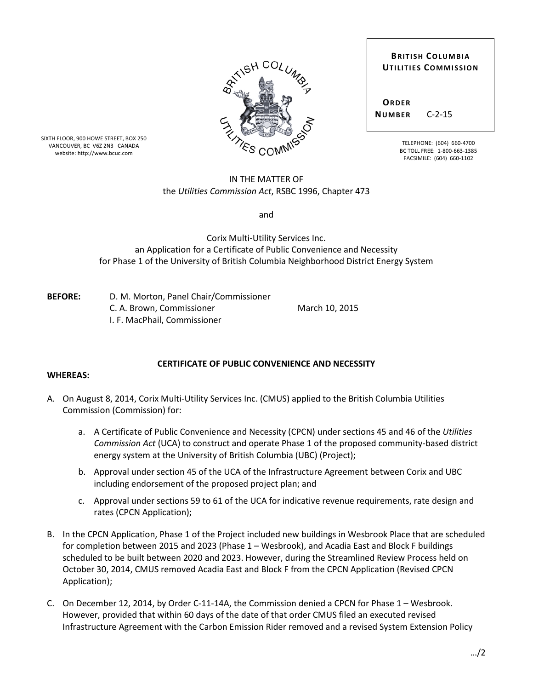| <b>BRITISH COLUMBIA</b> |                             |
|-------------------------|-----------------------------|
|                         | <b>UTILITIES COMMISSION</b> |
|                         |                             |
|                         |                             |
| ORDER                   |                             |
| <b>NUMBER</b>           | $C - 2 - 15$                |
|                         |                             |
|                         |                             |

TELEPHONE: (604) 660-4700 BC TOLL FREE: 1-800-663-1385 FACSIMILE: (604) 660-1102

SIXTH FLOOR, 900 HOWE STREET, BOX 250 VANCOUVER, BC V6Z 2N3 CANADA website: http://www.bcuc.com

## IN THE MATTER OF the *Utilities Commission Act*, RSBC 1996, Chapter 473

and

Corix Multi-Utility Services Inc. an Application for a Certificate of Public Convenience and Necessity for Phase 1 of the University of British Columbia Neighborhood District Energy System

**BEFORE:** D. M. Morton, Panel Chair/Commissioner C. A. Brown, Commissioner March 10, 2015 I. F. MacPhail, Commissioner

## **CERTIFICATE OF PUBLIC CONVENIENCE AND NECESSITY**

## **WHEREAS:**

- A. On August 8, 2014, Corix Multi-Utility Services Inc. (CMUS) applied to the British Columbia Utilities Commission (Commission) for:
	- a. A Certificate of Public Convenience and Necessity (CPCN) under sections 45 and 46 of the *Utilities Commission Act* (UCA) to construct and operate Phase 1 of the proposed community-based district energy system at the University of British Columbia (UBC) (Project);
	- b. Approval under section 45 of the UCA of the Infrastructure Agreement between Corix and UBC including endorsement of the proposed project plan; and
	- c. Approval under sections 59 to 61 of the UCA for indicative revenue requirements, rate design and rates (CPCN Application);
- B. In the CPCN Application, Phase 1 of the Project included new buildings in Wesbrook Place that are scheduled for completion between 2015 and 2023 (Phase 1 – Wesbrook), and Acadia East and Block F buildings scheduled to be built between 2020 and 2023. However, during the Streamlined Review Process held on October 30, 2014, CMUS removed Acadia East and Block F from the CPCN Application (Revised CPCN Application);
- C. On December 12, 2014, by Order C-11-14A, the Commission denied a CPCN for Phase 1 Wesbrook. However, provided that within 60 days of the date of that order CMUS filed an executed revised Infrastructure Agreement with the Carbon Emission Rider removed and a revised System Extension Policy